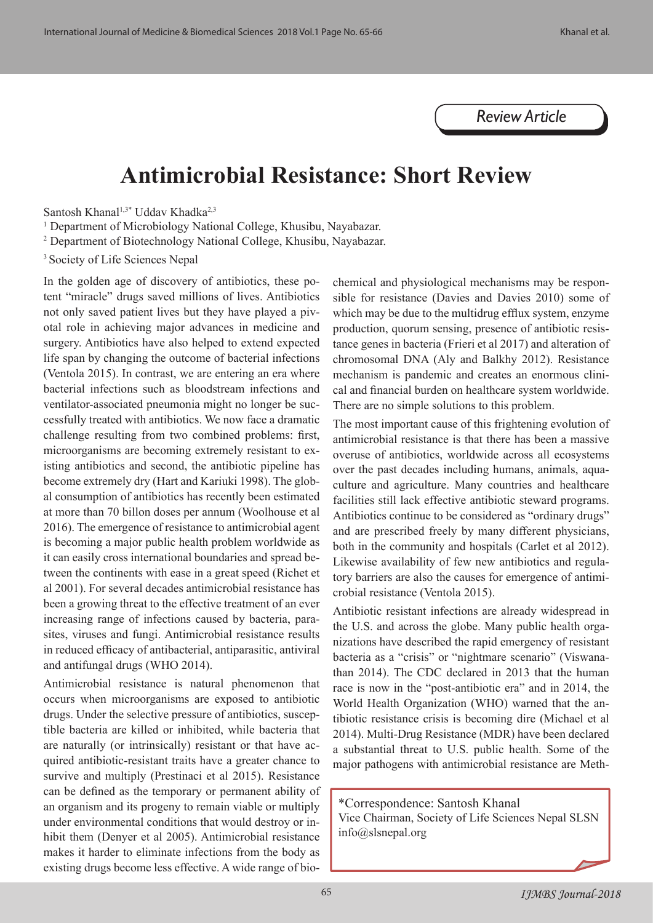## *Review Article*

## **Antimicrobial Resistance: Short Review**

Santosh Khanal<sup>1,3\*</sup> Uddav Khadka<sup>2,3</sup>

<sup>1</sup> Department of Microbiology National College, Khusibu, Nayabazar.

2 Department of Biotechnology National College, Khusibu, Nayabazar.

3 Society of Life Sciences Nepal

In the golden age of discovery of antibiotics, these potent "miracle" drugs saved millions of lives. Antibiotics not only saved patient lives but they have played a pivotal role in achieving major advances in medicine and surgery. Antibiotics have also helped to extend expected life span by changing the outcome of bacterial infections (Ventola 2015). In contrast, we are entering an era where bacterial infections such as bloodstream infections and ventilator-associated pneumonia might no longer be successfully treated with antibiotics. We now face a dramatic challenge resulting from two combined problems: first, microorganisms are becoming extremely resistant to existing antibiotics and second, the antibiotic pipeline has become extremely dry (Hart and Kariuki 1998). The global consumption of antibiotics has recently been estimated at more than 70 billon doses per annum (Woolhouse et al 2016). The emergence of resistance to antimicrobial agent is becoming a major public health problem worldwide as it can easily cross international boundaries and spread between the continents with ease in a great speed (Richet et al 2001). For several decades antimicrobial resistance has been a growing threat to the effective treatment of an ever increasing range of infections caused by bacteria, parasites, viruses and fungi. Antimicrobial resistance results in reduced efficacy of antibacterial, antiparasitic, antiviral and antifungal drugs (WHO 2014).

Antimicrobial resistance is natural phenomenon that occurs when microorganisms are exposed to antibiotic drugs. Under the selective pressure of antibiotics, susceptible bacteria are killed or inhibited, while bacteria that are naturally (or intrinsically) resistant or that have acquired antibiotic-resistant traits have a greater chance to survive and multiply (Prestinaci et al 2015). Resistance can be defined as the temporary or permanent ability of an organism and its progeny to remain viable or multiply under environmental conditions that would destroy or inhibit them (Denyer et al 2005). Antimicrobial resistance makes it harder to eliminate infections from the body as existing drugs become less effective. A wide range of biochemical and physiological mechanisms may be responsible for resistance (Davies and Davies 2010) some of which may be due to the multidrug efflux system, enzyme production, quorum sensing, presence of antibiotic resistance genes in bacteria (Frieri et al 2017) and alteration of chromosomal DNA (Aly and Balkhy 2012). Resistance mechanism is pandemic and creates an enormous clinical and financial burden on healthcare system worldwide. There are no simple solutions to this problem.

The most important cause of this frightening evolution of antimicrobial resistance is that there has been a massive overuse of antibiotics, worldwide across all ecosystems over the past decades including humans, animals, aquaculture and agriculture. Many countries and healthcare facilities still lack effective antibiotic steward programs. Antibiotics continue to be considered as "ordinary drugs" and are prescribed freely by many different physicians, both in the community and hospitals (Carlet et al 2012). Likewise availability of few new antibiotics and regulatory barriers are also the causes for emergence of antimicrobial resistance (Ventola 2015).

Antibiotic resistant infections are already widespread in the U.S. and across the globe. Many public health organizations have described the rapid emergency of resistant bacteria as a "crisis" or "nightmare scenario" (Viswanathan 2014). The CDC declared in 2013 that the human race is now in the "post-antibiotic era" and in 2014, the World Health Organization (WHO) warned that the antibiotic resistance crisis is becoming dire (Michael et al 2014). Multi-Drug Resistance (MDR) have been declared a substantial threat to U.S. public health. Some of the major pathogens with antimicrobial resistance are Meth-

\*Correspondence: Santosh Khanal Vice Chairman, Society of Life Sciences Nepal SLSN info@slsnepal.org